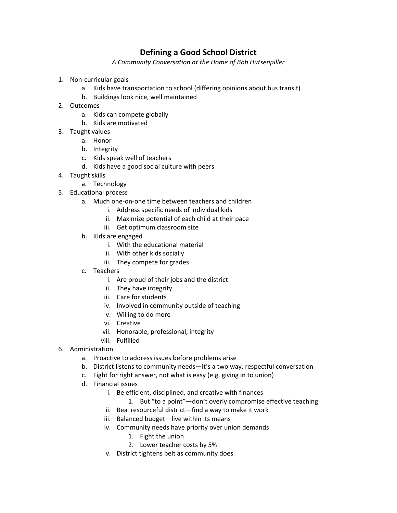## **Defining a Good School District**

*A Community Conversation at the Home of Bob Hutsenpiller*

- 1. Non‐curricular goals
	- a. Kids have transportation to school (differing opinions about bus transit)
	- b. Buildings look nice, well maintained
- 2. Outcomes
	- a. Kids can compete globally
	- b. Kids are motivated
- 3. Taught values
	- a. Honor
	- b. Integrity
	- c. Kids speak well of teachers
	- d. Kids have a good social culture with peers
- 4. Taught skills
	- a. Technology
- 5. Educational process
	- a. Much one‐on‐one time between teachers and children
		- i. Address specific needs of individual kids
		- ii. Maximize potential of each child at their pace
		- iii. Get optimum classroom size
	- b. Kids are engaged
		- i. With the educational material
		- ii. With other kids socially
		- iii. They compete for grades
	- c. Teachers
		- i. Are proud of their jobs and the district
		- ii. They have integrity
		- iii. Care for students
		- iv. Involved in community outside of teaching
		- v. Willing to do more
		- vi. Creative
		- vii. Honorable, professional, integrity
		- viii. Fulfilled
- 6. Administration
	- a. Proactive to address issues before problems arise
	- b. District listens to community needs—it's a two way, respectful conversation
	- c. Fight for right answer, not what is easy (e.g. giving in to union)
	- d. Financial issues
		- i. Be efficient, disciplined, and creative with finances
			- 1. But "to a point"—don't overly compromise effective teaching
		- ii. Bea resourceful district—find a way to make it work
		- iii. Balanced budget—live within its means
		- iv. Community needs have priority over union demands
			- 1. Fight the union
			- 2. Lower teacher costs by 5%
		- v. District tightens belt as community does